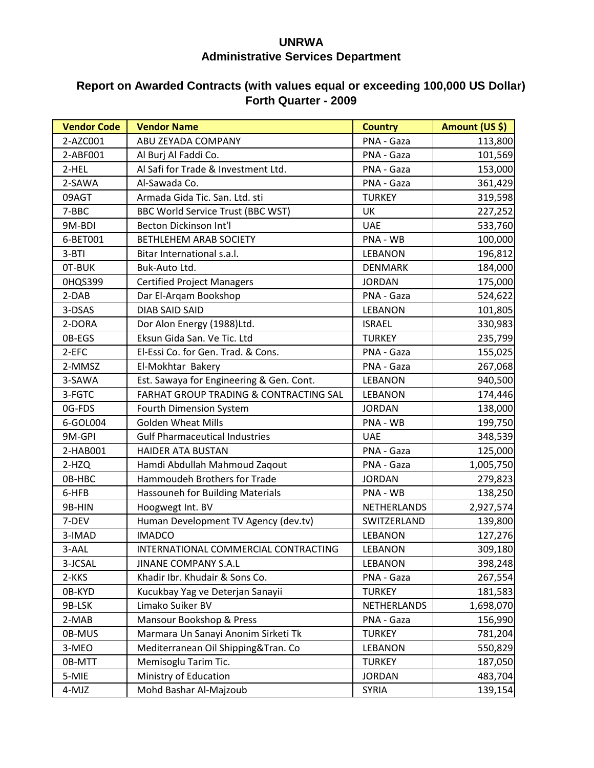## **UNRWA Administrative Services Department**

## **Report on Awarded Contracts (with values equal or exceeding 100,000 US Dollar) Forth Quarter - 2009**

| <b>Vendor Code</b> | <b>Vendor Name</b>                       | <b>Country</b> | Amount (US \$) |
|--------------------|------------------------------------------|----------------|----------------|
| 2-AZC001           | ABU ZEYADA COMPANY                       | PNA - Gaza     | 113,800        |
| 2-ABF001           | Al Burj Al Faddi Co.                     | PNA - Gaza     | 101,569        |
| 2-HEL              | Al Safi for Trade & Investment Ltd.      | PNA - Gaza     | 153,000        |
| 2-SAWA             | Al-Sawada Co.                            | PNA - Gaza     | 361,429        |
| 09AGT              | Armada Gida Tic. San. Ltd. sti           | <b>TURKEY</b>  | 319,598        |
| 7-BBC              | BBC World Service Trust (BBC WST)        | UK             | 227,252        |
| 9M-BDI             | Becton Dickinson Int'l                   | <b>UAE</b>     | 533,760        |
| 6-BET001           | <b>BETHLEHEM ARAB SOCIETY</b>            | PNA - WB       | 100,000        |
| $3-BTI$            | Bitar International s.a.l.               | <b>LEBANON</b> | 196,812        |
| OT-BUK             | Buk-Auto Ltd.                            | <b>DENMARK</b> | 184,000        |
| 0HQS399            | <b>Certified Project Managers</b>        | <b>JORDAN</b>  | 175,000        |
| 2-DAB              | Dar El-Arqam Bookshop                    | PNA - Gaza     | 524,622        |
| 3-DSAS             | <b>DIAB SAID SAID</b>                    | <b>LEBANON</b> | 101,805        |
| 2-DORA             | Dor Alon Energy (1988)Ltd.               | <b>ISRAEL</b>  | 330,983        |
| OB-EGS             | Eksun Gida San. Ve Tic. Ltd              | <b>TURKEY</b>  | 235,799        |
| 2-EFC              | El-Essi Co. for Gen. Trad. & Cons.       | PNA - Gaza     | 155,025        |
| 2-MMSZ             | El-Mokhtar Bakery                        | PNA - Gaza     | 267,068        |
| 3-SAWA             | Est. Sawaya for Engineering & Gen. Cont. | <b>LEBANON</b> | 940,500        |
| 3-FGTC             | FARHAT GROUP TRADING & CONTRACTING SAL   | <b>LEBANON</b> | 174,446        |
| 0G-FDS             | Fourth Dimension System                  | <b>JORDAN</b>  | 138,000        |
| 6-GOL004           | <b>Golden Wheat Mills</b>                | PNA - WB       | 199,750        |
| 9M-GPI             | <b>Gulf Pharmaceutical Industries</b>    | <b>UAE</b>     | 348,539        |
| 2-HAB001           | <b>HAIDER ATA BUSTAN</b>                 | PNA - Gaza     | 125,000        |
| 2-HZQ              | Hamdi Abdullah Mahmoud Zaqout            | PNA - Gaza     | 1,005,750      |
| OB-HBC             | Hammoudeh Brothers for Trade             | <b>JORDAN</b>  | 279,823        |
| 6-HFB              | Hassouneh for Building Materials         | PNA - WB       | 138,250        |
| 9B-HIN             | Hoogwegt Int. BV                         | NETHERLANDS    | 2,927,574      |
| 7-DEV              | Human Development TV Agency (dev.tv)     | SWITZERLAND    | 139,800        |
| 3-IMAD             | <b>IMADCO</b>                            | <b>LEBANON</b> | 127,276        |
| 3-AAL              | INTERNATIONAL COMMERCIAL CONTRACTING     | <b>LEBANON</b> | 309,180        |
| 3-JCSAL            | <b>JINANE COMPANY S.A.L</b>              | <b>LEBANON</b> | 398,248        |
| 2-KKS              | Khadir Ibr. Khudair & Sons Co.           | PNA - Gaza     | 267,554        |
| 0B-KYD             | Kucukbay Yag ve Deterjan Sanayii         | <b>TURKEY</b>  | 181,583        |
| 9B-LSK             | Limako Suiker BV                         | NETHERLANDS    | 1,698,070      |
| 2-MAB              | Mansour Bookshop & Press                 | PNA - Gaza     | 156,990        |
| 0B-MUS             | Marmara Un Sanayi Anonim Sirketi Tk      | <b>TURKEY</b>  | 781,204        |
| 3-MEO              | Mediterranean Oil Shipping&Tran. Co      | <b>LEBANON</b> | 550,829        |
| 0B-MTT             | Memisoglu Tarim Tic.                     | <b>TURKEY</b>  | 187,050        |
| 5-MIE              | Ministry of Education                    | <b>JORDAN</b>  | 483,704        |
| 4-MJZ              | Mohd Bashar Al-Majzoub                   | <b>SYRIA</b>   | 139,154        |